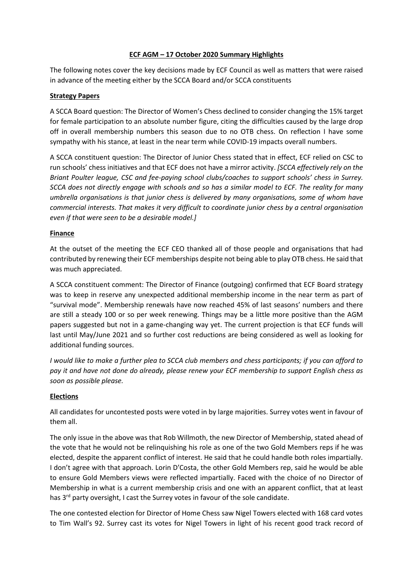## **ECF AGM – 17 October 2020 Summary Highlights**

The following notes cover the key decisions made by ECF Council as well as matters that were raised in advance of the meeting either by the SCCA Board and/or SCCA constituents

# **Strategy Papers**

A SCCA Board question: The Director of Women's Chess declined to consider changing the 15% target for female participation to an absolute number figure, citing the difficulties caused by the large drop off in overall membership numbers this season due to no OTB chess. On reflection I have some sympathy with his stance, at least in the near term while COVID-19 impacts overall numbers.

A SCCA constituent question: The Director of Junior Chess stated that in effect, ECF relied on CSC to run schools' chess initiatives and that ECF does not have a mirror activity. *[SCCA effectively rely on the Briant Poulter league, CSC and fee-paying school clubs/coaches to support schools' chess in Surrey. SCCA does not directly engage with schools and so has a similar model to ECF. The reality for many umbrella organisations is that junior chess is delivered by many organisations, some of whom have commercial interests. That makes it very difficult to coordinate junior chess by a central organisation even if that were seen to be a desirable model.]*

## **Finance**

At the outset of the meeting the ECF CEO thanked all of those people and organisations that had contributed by renewing their ECF memberships despite not being able to play OTB chess. He said that was much appreciated.

A SCCA constituent comment: The Director of Finance (outgoing) confirmed that ECF Board strategy was to keep in reserve any unexpected additional membership income in the near term as part of "survival mode". Membership renewals have now reached 45% of last seasons' numbers and there are still a steady 100 or so per week renewing. Things may be a little more positive than the AGM papers suggested but not in a game-changing way yet. The current projection is that ECF funds will last until May/June 2021 and so further cost reductions are being considered as well as looking for additional funding sources.

*I would like to make a further plea to SCCA club members and chess participants; if you can afford to pay it and have not done do already, please renew your ECF membership to support English chess as soon as possible please.*

#### **Elections**

All candidates for uncontested posts were voted in by large majorities. Surrey votes went in favour of them all.

The only issue in the above was that Rob Willmoth, the new Director of Membership, stated ahead of the vote that he would not be relinquishing his role as one of the two Gold Members reps if he was elected, despite the apparent conflict of interest. He said that he could handle both roles impartially. I don't agree with that approach. Lorin D'Costa, the other Gold Members rep, said he would be able to ensure Gold Members views were reflected impartially. Faced with the choice of no Director of Membership in what is a current membership crisis and one with an apparent conflict, that at least has 3<sup>rd</sup> party oversight, I cast the Surrey votes in favour of the sole candidate.

The one contested election for Director of Home Chess saw Nigel Towers elected with 168 card votes to Tim Wall's 92. Surrey cast its votes for Nigel Towers in light of his recent good track record of